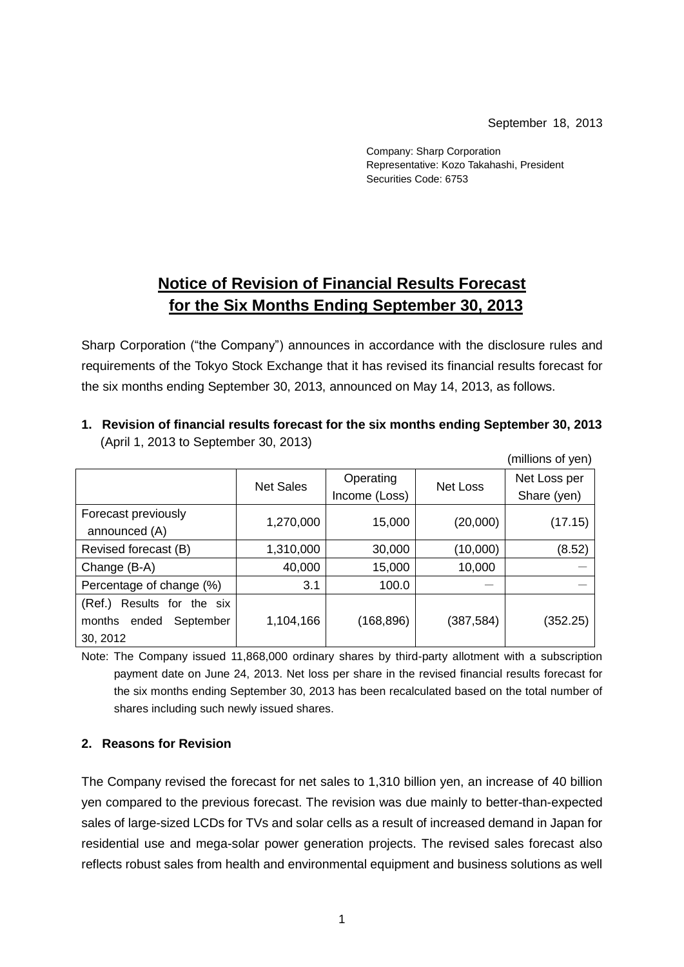September 18, 2013

Company: Sharp Corporation Representative: Kozo Takahashi, President Securities Code: 6753

## **Notice of Revision of Financial Results Forecast for the Six Months Ending September 30, 2013**

Sharp Corporation ("the Company") announces in accordance with the disclosure rules and requirements of the Tokyo Stock Exchange that it has revised its financial results forecast for the six months ending September 30, 2013, announced on May 14, 2013, as follows.

|                               |                  |               |           | (millions of yen) |
|-------------------------------|------------------|---------------|-----------|-------------------|
|                               | <b>Net Sales</b> | Operating     | Net Loss  | Net Loss per      |
|                               |                  | Income (Loss) |           | Share (yen)       |
| Forecast previously           | 1,270,000        | 15,000        | (20,000)  |                   |
| announced (A)                 |                  |               |           | (17.15)           |
| Revised forecast (B)          | 1,310,000        | 30,000        | (10,000)  | (8.52)            |
| Change (B-A)                  | 40,000           | 15,000        | 10,000    |                   |
| Percentage of change (%)      | 3.1              | 100.0         |           |                   |
| Results for the six<br>(Ref.) |                  |               |           |                   |
| months<br>September<br>ended  | 1,104,166        | (168, 896)    | (387,584) | (352.25)          |
| 30, 2012                      |                  |               |           |                   |

**1. Revision of financial results forecast for the six months ending September 30, 2013** (April 1, 2013 to September 30, 2013)

Note: The Company issued 11,868,000 ordinary shares by third-party allotment with a subscription payment date on June 24, 2013. Net loss per share in the revised financial results forecast for the six months ending September 30, 2013 has been recalculated based on the total number of shares including such newly issued shares.

## **2. Reasons for Revision**

The Company revised the forecast for net sales to 1,310 billion yen, an increase of 40 billion yen compared to the previous forecast. The revision was due mainly to better-than-expected sales of large-sized LCDs for TVs and solar cells as a result of increased demand in Japan for residential use and mega-solar power generation projects. The revised sales forecast also reflects robust sales from health and environmental equipment and business solutions as well